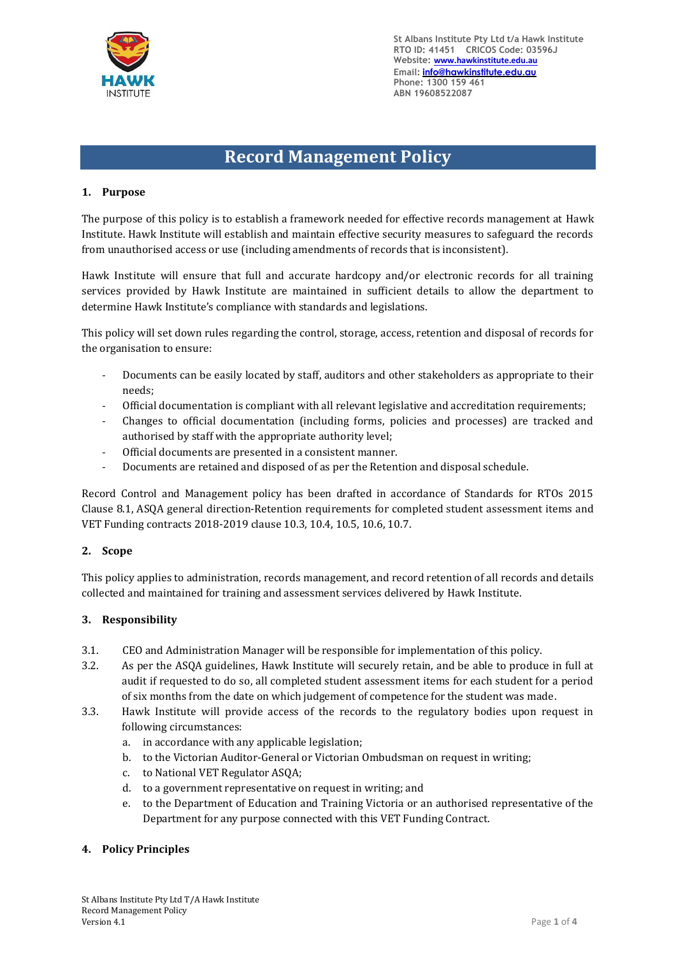

**St Albans Institute Pty Ltd t/a Hawk Institute RTO ID: 41451 CRICOS Code: 03596J Website: www.hawkinstitute.edu.au Email: [info@hawkinstitute.edu.au](mailto:info@hawkinstitute.edu.au) Phone: 1300 159 461 ABN 19608522087**

# **Record Management Policy**

# **1. Purpose**

The purpose of this policy is to establish a framework needed for effective records management at Hawk Institute. Hawk Institute will establish and maintain effective security measures to safeguard the records from unauthorised access or use (including amendments of records that is inconsistent).

Hawk Institute will ensure that full and accurate hardcopy and/or electronic records for all training services provided by Hawk Institute are maintained in sufficient details to allow the department to determine Hawk Institute's compliance with standards and legislations.

This policy will set down rules regarding the control, storage, access, retention and disposal of records for the organisation to ensure:

- Documents can be easily located by staff, auditors and other stakeholders as appropriate to their needs;
- Official documentation is compliant with all relevant legislative and accreditation requirements;
- Changes to official documentation (including forms, policies and processes) are tracked and authorised by staff with the appropriate authority level;
- Official documents are presented in a consistent manner.
- Documents are retained and disposed of as per the Retention and disposal schedule.

Record Control and Management policy has been drafted in accordance of Standards for RTOs 2015 Clause 8.1, ASQA general direction-Retention requirements for completed student assessment items and VET Funding contracts 2018-2019 clause 10.3, 10.4, 10.5, 10.6, 10.7.

## **2. Scope**

This policy applies to administration, records management, and record retention of all records and details collected and maintained for training and assessment services delivered by Hawk Institute.

## **3. Responsibility**

- 3.1. CEO and Administration Manager will be responsible for implementation of this policy.
- 3.2. As per the ASQA guidelines, Hawk Institute will securely retain, and be able to produce in full at audit if requested to do so, all completed student assessment items for each student for a period of six months from the date on which judgement of competence for the student was made.
- 3.3. Hawk Institute will provide access of the records to the regulatory bodies upon request in following circumstances:
	- a. in accordance with any applicable legislation;
	- b. to the Victorian Auditor-General or Victorian Ombudsman on request in writing;
	- c. to National VET Regulator ASQA;
	- d. to a government representative on request in writing; and
	- e. to the Department of Education and Training Victoria or an authorised representative of the Department for any purpose connected with this VET Funding Contract.

## **4. Policy Principles**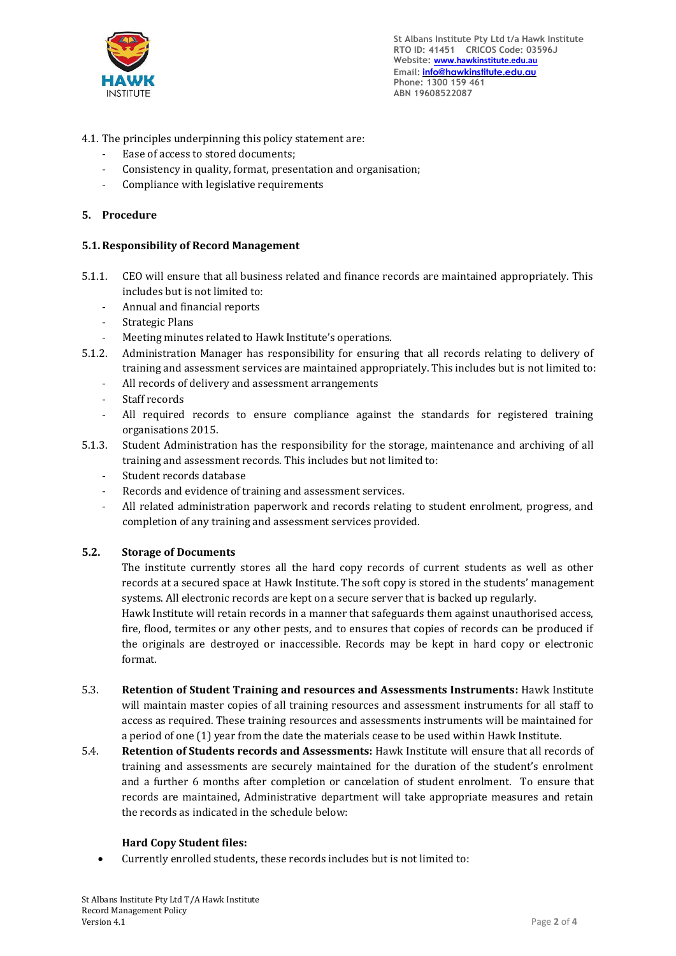

- 4.1. The principles underpinning this policy statement are:
	- Ease of access to stored documents;
	- Consistency in quality, format, presentation and organisation;
	- Compliance with legislative requirements

# **5. Procedure**

## **5.1.Responsibility of Record Management**

- 5.1.1. CEO will ensure that all business related and finance records are maintained appropriately. This includes but is not limited to:
	- Annual and financial reports
	- Strategic Plans
	- Meeting minutes related to Hawk Institute's operations.
- 5.1.2. Administration Manager has responsibility for ensuring that all records relating to delivery of training and assessment services are maintained appropriately. This includes but is not limited to:
	- All records of delivery and assessment arrangements
	- Staff records
	- All required records to ensure compliance against the standards for registered training organisations 2015.
- 5.1.3. Student Administration has the responsibility for the storage, maintenance and archiving of all training and assessment records. This includes but not limited to:
	- Student records database
	- Records and evidence of training and assessment services.
	- All related administration paperwork and records relating to student enrolment, progress, and completion of any training and assessment services provided.

## **5.2. Storage of Documents**

The institute currently stores all the hard copy records of current students as well as other records at a secured space at Hawk Institute. The soft copy is stored in the students' management systems. All electronic records are kept on a secure server that is backed up regularly.

Hawk Institute will retain records in a manner that safeguards them against unauthorised access, fire, flood, termites or any other pests, and to ensures that copies of records can be produced if the originals are destroyed or inaccessible. Records may be kept in hard copy or electronic format.

- 5.3. **Retention of Student Training and resources and Assessments Instruments:** Hawk Institute will maintain master copies of all training resources and assessment instruments for all staff to access as required. These training resources and assessments instruments will be maintained for a period of one (1) year from the date the materials cease to be used within Hawk Institute.
- 5.4. **Retention of Students records and Assessments:** Hawk Institute will ensure that all records of training and assessments are securely maintained for the duration of the student's enrolment and a further 6 months after completion or cancelation of student enrolment. To ensure that records are maintained, Administrative department will take appropriate measures and retain the records as indicated in the schedule below:

## **Hard Copy Student files:**

• Currently enrolled students, these records includes but is not limited to: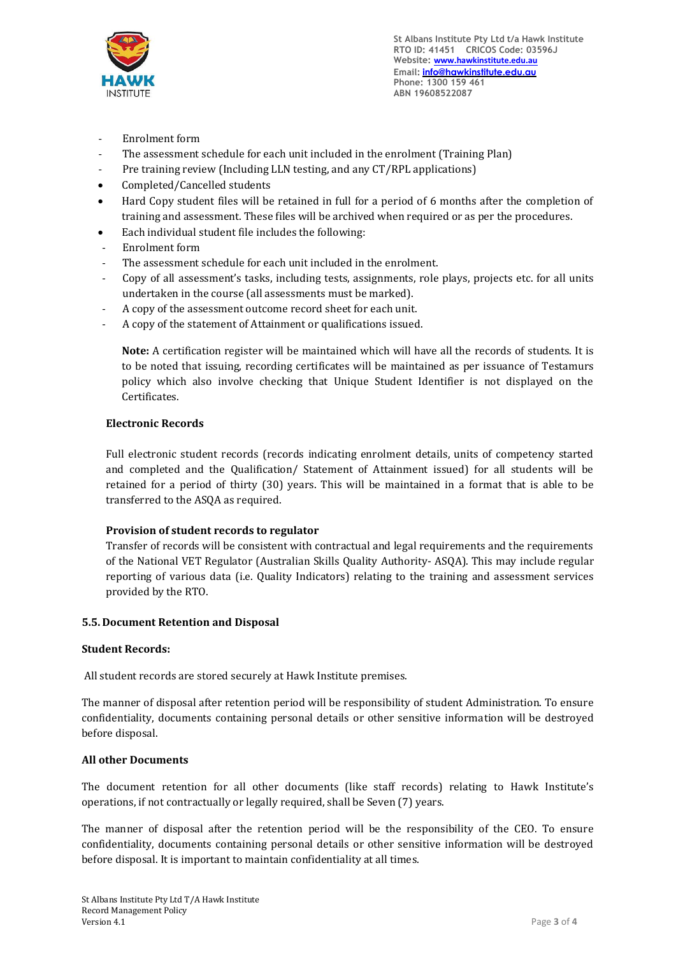

- Enrolment form
- The assessment schedule for each unit included in the enrolment (Training Plan)
- Pre training review (Including LLN testing, and any CT/RPL applications)
- Completed/Cancelled students
- Hard Copy student files will be retained in full for a period of 6 months after the completion of training and assessment. These files will be archived when required or as per the procedures.
- Each individual student file includes the following:
- Enrolment form
- The assessment schedule for each unit included in the enrolment.
- Copy of all assessment's tasks, including tests, assignments, role plays, projects etc. for all units undertaken in the course (all assessments must be marked).
- A copy of the assessment outcome record sheet for each unit.
- A copy of the statement of Attainment or qualifications issued.

**Note:** A certification register will be maintained which will have all the records of students. It is to be noted that issuing, recording certificates will be maintained as per issuance of Testamurs policy which also involve checking that Unique Student Identifier is not displayed on the Certificates.

#### **Electronic Records**

Full electronic student records (records indicating enrolment details, units of competency started and completed and the Qualification/ Statement of Attainment issued) for all students will be retained for a period of thirty (30) years. This will be maintained in a format that is able to be transferred to the ASQA as required.

## **Provision of student records to regulator**

Transfer of records will be consistent with contractual and legal requirements and the requirements of the National VET Regulator (Australian Skills Quality Authority- ASQA). This may include regular reporting of various data (i.e. Quality Indicators) relating to the training and assessment services provided by the RTO.

#### **5.5. Document Retention and Disposal**

#### **Student Records:**

All student records are stored securely at Hawk Institute premises.

The manner of disposal after retention period will be responsibility of student Administration. To ensure confidentiality, documents containing personal details or other sensitive information will be destroyed before disposal.

## **All other Documents**

The document retention for all other documents (like staff records) relating to Hawk Institute's operations, if not contractually or legally required, shall be Seven (7) years.

The manner of disposal after the retention period will be the responsibility of the CEO. To ensure confidentiality, documents containing personal details or other sensitive information will be destroyed before disposal. It is important to maintain confidentiality at all times.